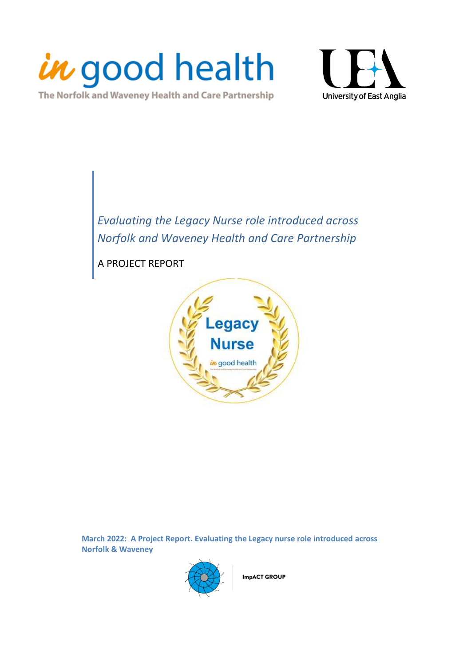

The Norfolk and Waveney Health and Care Partnership



<span id="page-0-0"></span>*Evaluating the Legacy Nurse role introduced across Norfolk and Waveney Health and Care Partnership*

A PROJECT REPORT



**March 2022: A Project Report. Evaluating the Legacy nurse role introduced across Norfolk & Waveney**



**ImpACT GROUP**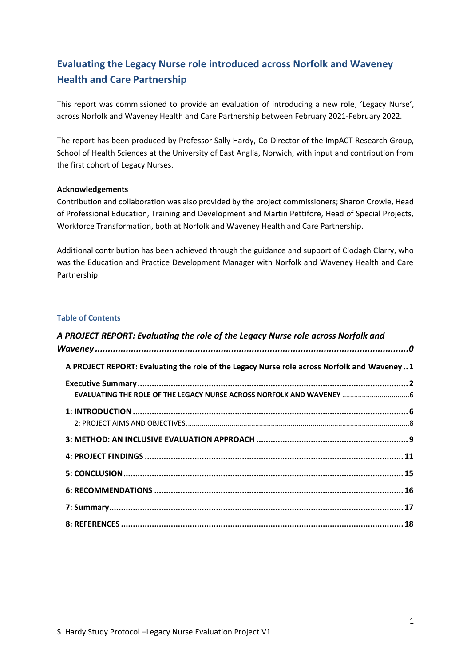# <span id="page-1-0"></span>**Evaluating the Legacy Nurse role introduced across Norfolk and Waveney Health and Care Partnership**

This report was commissioned to provide an evaluation of introducing a new role, 'Legacy Nurse', across Norfolk and Waveney Health and Care Partnership between February 2021-February 2022.

The report has been produced by Professor Sally Hardy, Co-Director of the ImpACT Research Group, School of Health Sciences at the University of East Anglia, Norwich, with input and contribution from the first cohort of Legacy Nurses.

### **Acknowledgements**

Contribution and collaboration was also provided by the project commissioners; Sharon Crowle, Head of Professional Education, Training and Development and Martin Pettifore, Head of Special Projects, Workforce Transformation, both at Norfolk and Waveney Health and Care Partnership.

Additional contribution has been achieved through the guidance and support of Clodagh Clarry, who was the Education and Practice Development Manager with Norfolk and Waveney Health and Care Partnership.

### **Table of Contents**

| A PROJECT REPORT: Evaluating the role of the Legacy Nurse role across Norfolk and            |  |
|----------------------------------------------------------------------------------------------|--|
|                                                                                              |  |
| A PROJECT REPORT: Evaluating the role of the Legacy Nurse role across Norfolk and Waveney  1 |  |
|                                                                                              |  |
|                                                                                              |  |
|                                                                                              |  |
|                                                                                              |  |
|                                                                                              |  |
|                                                                                              |  |
|                                                                                              |  |
|                                                                                              |  |
|                                                                                              |  |
|                                                                                              |  |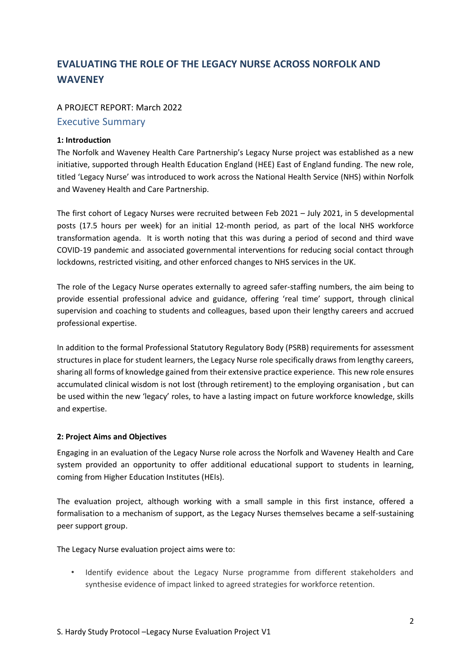# **EVALUATING THE ROLE OF THE LEGACY NURSE ACROSS NORFOLK AND WAVENEY**

### A PROJECT REPORT: March 2022

### <span id="page-2-0"></span>Executive Summary

#### **1: Introduction**

The Norfolk and Waveney Health Care Partnership's Legacy Nurse project was established as a new initiative, supported through Health Education England (HEE) East of England funding. The new role, titled 'Legacy Nurse' was introduced to work across the National Health Service (NHS) within Norfolk and Waveney Health and Care Partnership.

The first cohort of Legacy Nurses were recruited between Feb 2021 – July 2021, in 5 developmental posts (17.5 hours per week) for an initial 12-month period, as part of the local NHS workforce transformation agenda. It is worth noting that this was during a period of second and third wave COVID-19 pandemic and associated governmental interventions for reducing social contact through lockdowns, restricted visiting, and other enforced changes to NHS services in the UK.

The role of the Legacy Nurse operates externally to agreed safer-staffing numbers, the aim being to provide essential professional advice and guidance, offering 'real time' support, through clinical supervision and coaching to students and colleagues, based upon their lengthy careers and accrued professional expertise.

In addition to the formal Professional Statutory Regulatory Body (PSRB) requirements for assessment structures in place for student learners, the Legacy Nurse role specifically draws from lengthy careers, sharing all forms of knowledge gained from their extensive practice experience. This new role ensures accumulated clinical wisdom is not lost (through retirement) to the employing organisation , but can be used within the new 'legacy' roles, to have a lasting impact on future workforce knowledge, skills and expertise.

### **2: Project Aims and Objectives**

Engaging in an evaluation of the Legacy Nurse role across the Norfolk and Waveney Health and Care system provided an opportunity to offer additional educational support to students in learning, coming from Higher Education Institutes (HEIs).

The evaluation project, although working with a small sample in this first instance, offered a formalisation to a mechanism of support, as the Legacy Nurses themselves became a self-sustaining peer support group.

The Legacy Nurse evaluation project aims were to:

• Identify evidence about the Legacy Nurse programme from different stakeholders and synthesise evidence of impact linked to agreed strategies for workforce retention.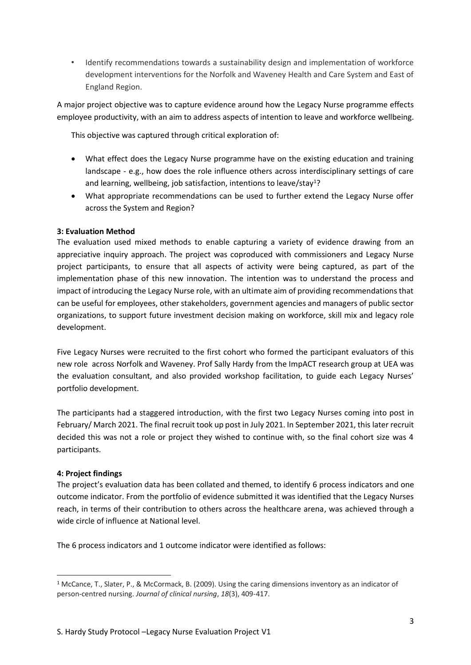• Identify recommendations towards a sustainability design and implementation of workforce development interventions for the Norfolk and Waveney Health and Care System and East of England Region.

A major project objective was to capture evidence around how the Legacy Nurse programme effects employee productivity, with an aim to address aspects of intention to leave and workforce wellbeing.

This objective was captured through critical exploration of:

- What effect does the Legacy Nurse programme have on the existing education and training landscape - e.g., how does the role influence others across interdisciplinary settings of care and learning, wellbeing, job satisfaction, intentions to leave/stay<sup>1</sup>?
- What appropriate recommendations can be used to further extend the Legacy Nurse offer across the System and Region?

## **3: Evaluation Method**

The evaluation used mixed methods to enable capturing a variety of evidence drawing from an appreciative inquiry approach. The project was coproduced with commissioners and Legacy Nurse project participants, to ensure that all aspects of activity were being captured, as part of the implementation phase of this new innovation. The intention was to understand the process and impact of introducing the Legacy Nurse role, with an ultimate aim of providing recommendations that can be useful for employees, other stakeholders, government agencies and managers of public sector organizations, to support future investment decision making on workforce, skill mix and legacy role development.

Five Legacy Nurses were recruited to the first cohort who formed the participant evaluators of this new role across Norfolk and Waveney. Prof Sally Hardy from the ImpACT research group at UEA was the evaluation consultant, and also provided workshop facilitation, to guide each Legacy Nurses' portfolio development.

The participants had a staggered introduction, with the first two Legacy Nurses coming into post in February/ March 2021. The final recruit took up post in July 2021. In September 2021, this later recruit decided this was not a role or project they wished to continue with, so the final cohort size was 4 participants.

### **4: Project findings**

The project's evaluation data has been collated and themed, to identify 6 process indicators and one outcome indicator. From the portfolio of evidence submitted it was identified that the Legacy Nurses reach, in terms of their contribution to others across the healthcare arena, was achieved through a wide circle of influence at National level.

The 6 process indicators and 1 outcome indicator were identified as follows:

<sup>1</sup> McCance, T., Slater, P., & McCormack, B. (2009). Using the caring dimensions inventory as an indicator of person‐centred nursing. *Journal of clinical nursing*, *18*(3), 409-417.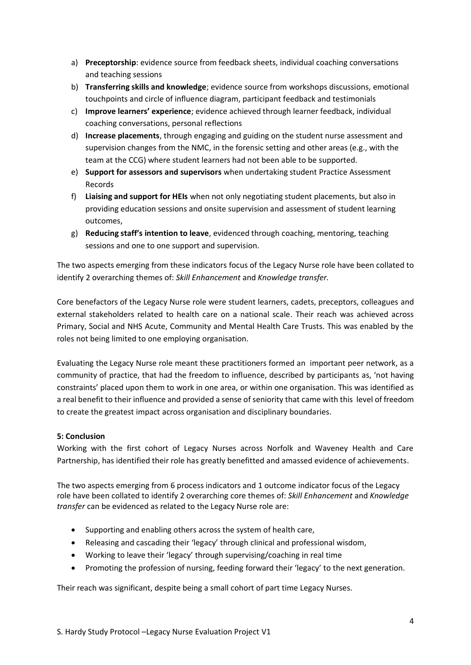- a) **Preceptorship**: evidence source from feedback sheets, individual coaching conversations and teaching sessions
- b) **Transferring skills and knowledge**; evidence source from workshops discussions, emotional touchpoints and circle of influence diagram, participant feedback and testimonials
- c) **Improve learners' experience**; evidence achieved through learner feedback, individual coaching conversations, personal reflections
- d) **Increase placements**, through engaging and guiding on the student nurse assessment and supervision changes from the NMC, in the forensic setting and other areas (e.g., with the team at the CCG) where student learners had not been able to be supported.
- e) **Support for assessors and supervisors** when undertaking student Practice Assessment Records
- f) **Liaising and support for HEIs** when not only negotiating student placements, but also in providing education sessions and onsite supervision and assessment of student learning outcomes,
- g) **Reducing staff's intention to leave**, evidenced through coaching, mentoring, teaching sessions and one to one support and supervision.

The two aspects emerging from these indicators focus of the Legacy Nurse role have been collated to identify 2 overarching themes of: *Skill Enhancement* and *Knowledge transfer.*

Core benefactors of the Legacy Nurse role were student learners, cadets, preceptors, colleagues and external stakeholders related to health care on a national scale. Their reach was achieved across Primary, Social and NHS Acute, Community and Mental Health Care Trusts. This was enabled by the roles not being limited to one employing organisation.

Evaluating the Legacy Nurse role meant these practitioners formed an important peer network, as a community of practice, that had the freedom to influence, described by participants as, 'not having constraints' placed upon them to work in one area, or within one organisation. This was identified as a real benefit to their influence and provided a sense of seniority that came with this level of freedom to create the greatest impact across organisation and disciplinary boundaries.

## **5: Conclusion**

Working with the first cohort of Legacy Nurses across Norfolk and Waveney Health and Care Partnership, has identified their role has greatly benefitted and amassed evidence of achievements.

The two aspects emerging from 6 process indicators and 1 outcome indicator focus of the Legacy role have been collated to identify 2 overarching core themes of: *Skill Enhancement* and *Knowledge transfer* can be evidenced as related to the Legacy Nurse role are:

- Supporting and enabling others across the system of health care,
- Releasing and cascading their 'legacy' through clinical and professional wisdom,
- Working to leave their 'legacy' through supervising/coaching in real time
- Promoting the profession of nursing, feeding forward their 'legacy' to the next generation.

Their reach was significant, despite being a small cohort of part time Legacy Nurses.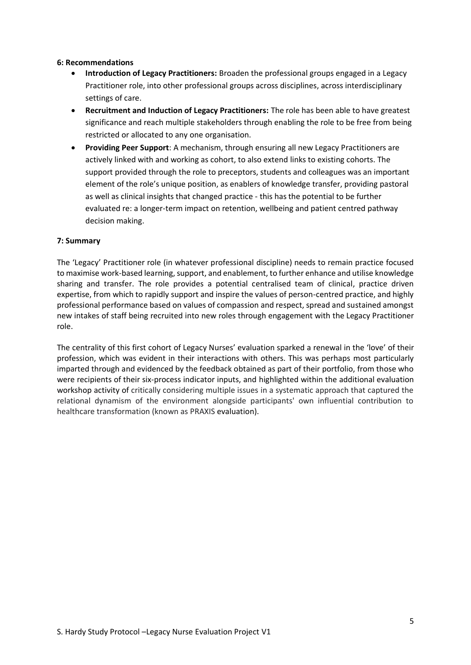### **6: Recommendations**

- **Introduction of Legacy Practitioners:** Broaden the professional groups engaged in a Legacy Practitioner role, into other professional groups across disciplines, across interdisciplinary settings of care.
- **Recruitment and Induction of Legacy Practitioners:** The role has been able to have greatest significance and reach multiple stakeholders through enabling the role to be free from being restricted or allocated to any one organisation.
- **Providing Peer Support**: A mechanism, through ensuring all new Legacy Practitioners are actively linked with and working as cohort, to also extend links to existing cohorts. The support provided through the role to preceptors, students and colleagues was an important element of the role's unique position, as enablers of knowledge transfer, providing pastoral as well as clinical insights that changed practice - this has the potential to be further evaluated re: a longer-term impact on retention, wellbeing and patient centred pathway decision making.

### **7: Summary**

The 'Legacy' Practitioner role (in whatever professional discipline) needs to remain practice focused to maximise work-based learning, support, and enablement, to further enhance and utilise knowledge sharing and transfer. The role provides a potential centralised team of clinical, practice driven expertise, from which to rapidly support and inspire the values of person-centred practice, and highly professional performance based on values of compassion and respect, spread and sustained amongst new intakes of staff being recruited into new roles through engagement with the Legacy Practitioner role.

The centrality of this first cohort of Legacy Nurses' evaluation sparked a renewal in the 'love' of their profession, which was evident in their interactions with others. This was perhaps most particularly imparted through and evidenced by the feedback obtained as part of their portfolio, from those who were recipients of their six-process indicator inputs, and highlighted within the additional evaluation workshop activity of critically considering multiple issues in a systematic approach that captured the relational dynamism of the environment alongside participants' own influential contribution to healthcare transformation (known as PRAXIS evaluation).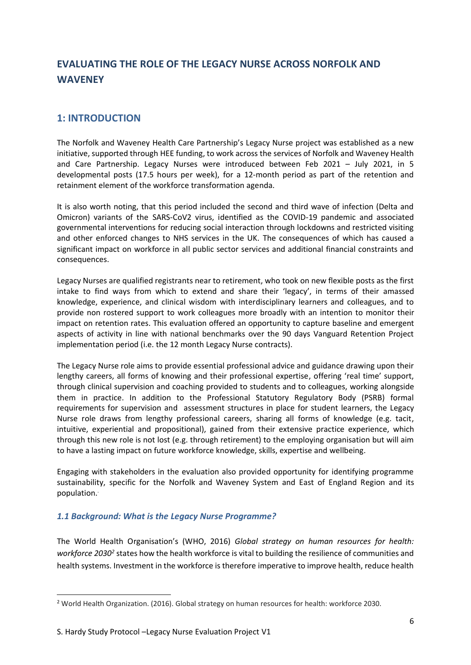# <span id="page-6-0"></span>**EVALUATING THE ROLE OF THE LEGACY NURSE ACROSS NORFOLK AND WAVENEY**

# <span id="page-6-1"></span>**1: INTRODUCTION**

The Norfolk and Waveney Health Care Partnership's Legacy Nurse project was established as a new initiative, supported through HEE funding, to work across the services of Norfolk and Waveney Health and Care Partnership. Legacy Nurses were introduced between Feb 2021 – July 2021, in 5 developmental posts (17.5 hours per week), for a 12-month period as part of the retention and retainment element of the workforce transformation agenda.

It is also worth noting, that this period included the second and third wave of infection (Delta and Omicron) variants of the SARS-CoV2 virus, identified as the COVID-19 pandemic and associated governmental interventions for reducing social interaction through lockdowns and restricted visiting and other enforced changes to NHS services in the UK. The consequences of which has caused a significant impact on workforce in all public sector services and additional financial constraints and consequences.

Legacy Nurses are qualified registrants near to retirement, who took on new flexible posts as the first intake to find ways from which to extend and share their 'legacy', in terms of their amassed knowledge, experience, and clinical wisdom with interdisciplinary learners and colleagues, and to provide non rostered support to work colleagues more broadly with an intention to monitor their impact on retention rates. This evaluation offered an opportunity to capture baseline and emergent aspects of activity in line with national benchmarks over the 90 days Vanguard Retention Project implementation period (i.e. the 12 month Legacy Nurse contracts).

The Legacy Nurse role aims to provide essential professional advice and guidance drawing upon their lengthy careers, all forms of knowing and their professional expertise, offering 'real time' support, through clinical supervision and coaching provided to students and to colleagues, working alongside them in practice. In addition to the Professional Statutory Regulatory Body (PSRB) formal requirements for supervision and assessment structures in place for student learners, the Legacy Nurse role draws from lengthy professional careers, sharing all forms of knowledge (e.g. tacit, intuitive, experiential and propositional), gained from their extensive practice experience, which through this new role is not lost (e.g. through retirement) to the employing organisation but will aim to have a lasting impact on future workforce knowledge, skills, expertise and wellbeing.

Engaging with stakeholders in the evaluation also provided opportunity for identifying programme sustainability, specific for the Norfolk and Waveney System and East of England Region and its population. .

# *1.1 Background: What is the Legacy Nurse Programme?*

The World Health Organisation's (WHO, 2016) *Global strategy on human resources for health:*  workforce 2030<sup>2</sup> states how the health workforce is vital to building the resilience of communities and health systems. Investment in the workforce is therefore imperative to improve health, reduce health

<sup>2</sup> World Health Organization. (2016). Global strategy on human resources for health: workforce 2030.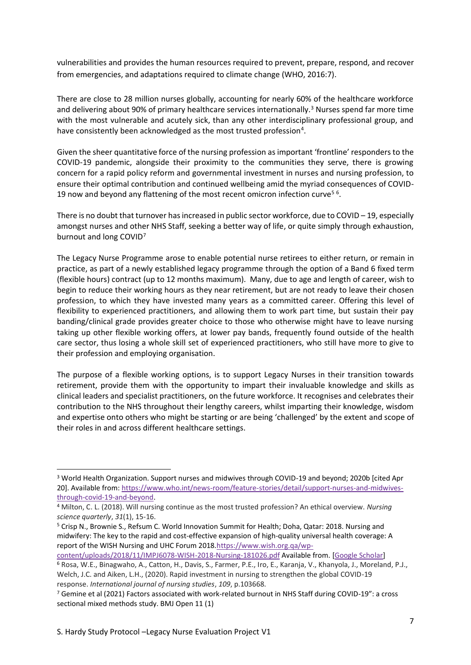vulnerabilities and provides the human resources required to prevent, prepare, respond, and recover from emergencies, and adaptations required to climate change (WHO, 2016:7).

There are close to 28 million nurses globally, accounting for nearly 60% of the healthcare workforce and delivering about 90% of primary healthcare services internationally.<sup>3</sup> Nurses spend far more time with the most vulnerable and acutely sick, than any other interdisciplinary professional group, and have consistently been acknowledged as the most trusted profession<sup>4</sup>.

Given the sheer quantitative force of the nursing profession as important 'frontline' responders to the COVID-19 pandemic, alongside their proximity to the communities they serve, there is growing concern for a rapid policy reform and governmental investment in nurses and nursing profession, to ensure their optimal contribution and continued wellbeing amid the myriad consequences of COVID-19 now and beyond any flattening of the most recent omicron infection curve<sup>56</sup>.

There is no doubt that turnover has increased in public sector workforce, due to COVID – 19, especially amongst nurses and other NHS Staff, seeking a better way of life, or quite simply through exhaustion, burnout and long COVID<sup>7</sup>

The Legacy Nurse Programme arose to enable potential nurse retirees to either return, or remain in practice, as part of a newly established legacy programme through the option of a Band 6 fixed term (flexible hours) contract (up to 12 months maximum). Many, due to age and length of career, wish to begin to reduce their working hours as they near retirement, but are not ready to leave their chosen profession, to which they have invested many years as a committed career. Offering this level of flexibility to experienced practitioners, and allowing them to work part time, but sustain their pay banding/clinical grade provides greater choice to those who otherwise might have to leave nursing taking up other flexible working offers, at lower pay bands, frequently found outside of the health care sector, thus losing a whole skill set of experienced practitioners, who still have more to give to their profession and employing organisation.

The purpose of a flexible working options, is to support Legacy Nurses in their transition towards retirement, provide them with the opportunity to impart their invaluable knowledge and skills as clinical leaders and specialist practitioners, on the future workforce. It recognises and celebrates their contribution to the NHS throughout their lengthy careers, whilst imparting their knowledge, wisdom and expertise onto others who might be starting or are being 'challenged' by the extent and scope of their roles in and across different healthcare settings.

[content/uploads/2018/11/IMPJ6078-WISH-2018-Nursing-181026.pdf](https://www.wish.org.qa/wp-content/uploads/2018/11/IMPJ6078-WISH-2018-Nursing-181026.pdf) Available from. [\[Google Scholar\]](https://scholar.google.com/scholar?q=Crisp+N.+Brownie+S.+Refsum+C.+Nursing+and+midwifery:+The+key+to+the+rapid+and+cost-effective+expansion+of+high-quality+universal+health+coverage:+A+report+of+the+WISH+Nursing+and+UHC+Forum+2018+2018+World+Innovation+Summit+for+Health+Doha,+Qatar+Available+from+https://www.wish.org.qa/wp-content/uploads/2018/11/IMPJ6078-WISH-2018-Nursing-181026.pdf+)

<sup>3</sup> World Health Organization. Support nurses and midwives through COVID-19 and beyond; 2020b [cited Apr 20]. Available from: [https://www.who.int/news-room/feature-stories/detail/support-nurses-and-midwives](https://www.who.int/news-room/feature-stories/detail/support-nurses-and-midwives-through-covid-19-and-beyond)[through-covid-19-and-beyond.](https://www.who.int/news-room/feature-stories/detail/support-nurses-and-midwives-through-covid-19-and-beyond)

<sup>4</sup> Milton, C. L. (2018). Will nursing continue as the most trusted profession? An ethical overview. *Nursing science quarterly*, *31*(1), 15-16.

<sup>5</sup> Crisp N., Brownie S., Refsum C. World Innovation Summit for Health; Doha, Qatar: 2018. Nursing and midwifery: The key to the rapid and cost-effective expansion of high-quality universal health coverage: A report of the WISH Nursing and UHC Forum 2018[.https://www.wish.org.qa/wp-](https://www.wish.org.qa/wp-content/uploads/2018/11/IMPJ6078-WISH-2018-Nursing-181026.pdf)

<sup>6</sup> Rosa, W.E., Binagwaho, A., Catton, H., Davis, S., Farmer, P.E., Iro, E., Karanja, V., Khanyola, J., Moreland, P.J., Welch, J.C. and Aiken, L.H., (2020). Rapid investment in nursing to strengthen the global COVID-19 response. *International journal of nursing studies*, *109*, p.103668.

 $7$  Gemine et al (2021) Factors associated with work-related burnout in NHS Staff during COVID-19": a cross sectional mixed methods study. BMJ Open 11 (1)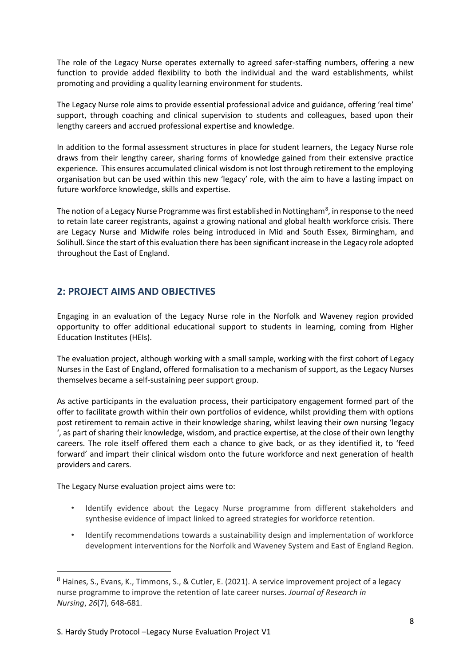The role of the Legacy Nurse operates externally to agreed safer-staffing numbers, offering a new function to provide added flexibility to both the individual and the ward establishments, whilst promoting and providing a quality learning environment for students.

The Legacy Nurse role aims to provide essential professional advice and guidance, offering 'real time' support, through coaching and clinical supervision to students and colleagues, based upon their lengthy careers and accrued professional expertise and knowledge.

In addition to the formal assessment structures in place for student learners, the Legacy Nurse role draws from their lengthy career, sharing forms of knowledge gained from their extensive practice experience. This ensures accumulated clinical wisdom is not lost through retirement to the employing organisation but can be used within this new 'legacy' role, with the aim to have a lasting impact on future workforce knowledge, skills and expertise.

The notion of a Legacy Nurse Programme was first established in Nottingham<sup>8</sup>, in response to the need to retain late career registrants, against a growing national and global health workforce crisis. There are Legacy Nurse and Midwife roles being introduced in Mid and South Essex, Birmingham, and Solihull. Since the start of this evaluation there has been significant increase in the Legacy role adopted throughout the East of England.

# <span id="page-8-0"></span>**2: PROJECT AIMS AND OBJECTIVES**

Engaging in an evaluation of the Legacy Nurse role in the Norfolk and Waveney region provided opportunity to offer additional educational support to students in learning, coming from Higher Education Institutes (HEIs).

The evaluation project, although working with a small sample, working with the first cohort of Legacy Nurses in the East of England, offered formalisation to a mechanism of support, as the Legacy Nurses themselves became a self-sustaining peer support group.

As active participants in the evaluation process, their participatory engagement formed part of the offer to facilitate growth within their own portfolios of evidence, whilst providing them with options post retirement to remain active in their knowledge sharing, whilst leaving their own nursing 'legacy ', as part of sharing their knowledge, wisdom, and practice expertise, at the close of their own lengthy careers. The role itself offered them each a chance to give back, or as they identified it, to 'feed forward' and impart their clinical wisdom onto the future workforce and next generation of health providers and carers.

The Legacy Nurse evaluation project aims were to:

- Identify evidence about the Legacy Nurse programme from different stakeholders and synthesise evidence of impact linked to agreed strategies for workforce retention.
- Identify recommendations towards a sustainability design and implementation of workforce development interventions for the Norfolk and Waveney System and East of England Region.

 $8$  Haines, S., Evans, K., Timmons, S., & Cutler, E. (2021). A service improvement project of a legacy nurse programme to improve the retention of late career nurses. *Journal of Research in Nursing*, *26*(7), 648-681.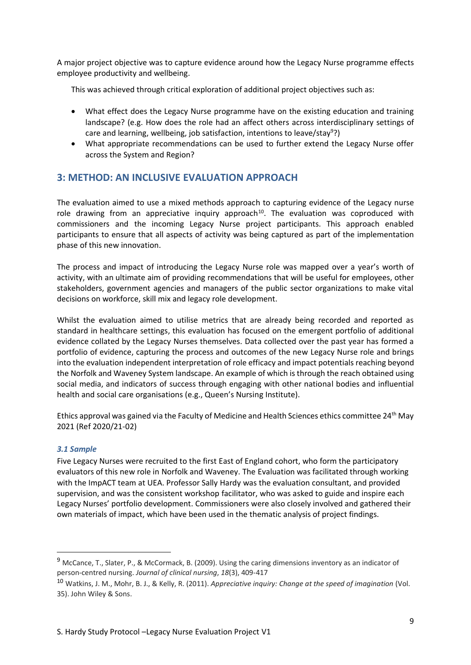A major project objective was to capture evidence around how the Legacy Nurse programme effects employee productivity and wellbeing.

This was achieved through critical exploration of additional project objectives such as:

- What effect does the Legacy Nurse programme have on the existing education and training landscape? (e.g. How does the role had an affect others across interdisciplinary settings of care and learning, wellbeing, job satisfaction, intentions to leave/stay<sup>9</sup>?)
- What appropriate recommendations can be used to further extend the Legacy Nurse offer across the System and Region?

# <span id="page-9-0"></span>**3: METHOD: AN INCLUSIVE EVALUATION APPROACH**

The evaluation aimed to use a mixed methods approach to capturing evidence of the Legacy nurse role drawing from an appreciative inquiry approach<sup>10</sup>. The evaluation was coproduced with commissioners and the incoming Legacy Nurse project participants. This approach enabled participants to ensure that all aspects of activity was being captured as part of the implementation phase of this new innovation.

The process and impact of introducing the Legacy Nurse role was mapped over a year's worth of activity, with an ultimate aim of providing recommendations that will be useful for employees, other stakeholders, government agencies and managers of the public sector organizations to make vital decisions on workforce, skill mix and legacy role development.

Whilst the evaluation aimed to utilise metrics that are already being recorded and reported as standard in healthcare settings, this evaluation has focused on the emergent portfolio of additional evidence collated by the Legacy Nurses themselves. Data collected over the past year has formed a portfolio of evidence, capturing the process and outcomes of the new Legacy Nurse role and brings into the evaluation independent interpretation of role efficacy and impact potentials reaching beyond the Norfolk and Waveney System landscape. An example of which is through the reach obtained using social media, and indicators of success through engaging with other national bodies and influential health and social care organisations (e.g., Queen's Nursing Institute).

Ethics approval was gained via the Faculty of Medicine and Health Sciences ethics committee 24<sup>th</sup> May 2021 (Ref 2020/21-02)

### *3.1 Sample*

Five Legacy Nurses were recruited to the first East of England cohort, who form the participatory evaluators of this new role in Norfolk and Waveney. The Evaluation was facilitated through working with the ImpACT team at UEA. Professor Sally Hardy was the evaluation consultant, and provided supervision, and was the consistent workshop facilitator, who was asked to guide and inspire each Legacy Nurses' portfolio development. Commissioners were also closely involved and gathered their own materials of impact, which have been used in the thematic analysis of project findings.

<sup>9</sup> McCance, T., Slater, P., & McCormack, B. (2009). Using the caring dimensions inventory as an indicator of person‐centred nursing. *Journal of clinical nursing*, *18*(3), 409-417

<sup>10</sup> Watkins, J. M., Mohr, B. J., & Kelly, R. (2011). *Appreciative inquiry: Change at the speed of imagination* (Vol. 35). John Wiley & Sons.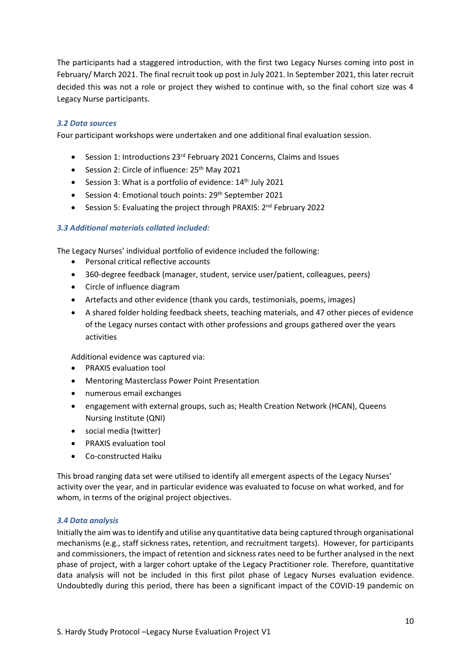The participants had a staggered introduction, with the first two Legacy Nurses coming into post in February/ March 2021. The final recruit took up post in July 2021. In September 2021, this later recruit decided this was not a role or project they wished to continue with, so the final cohort size was 4 Legacy Nurse participants.

### *3.2 Data sources*

Four participant workshops were undertaken and one additional final evaluation session.

- Session 1: Introductions 23rd February 2021 Concerns, Claims and Issues
- Session 2: Circle of influence: 25<sup>th</sup> May 2021
- Session 3: What is a portfolio of evidence: 14<sup>th</sup> July 2021
- Session 4: Emotional touch points: 29<sup>th</sup> September 2021
- Session 5: Evaluating the project through PRAXIS: 2<sup>nd</sup> February 2022

### *3.3 Additional materials collated included:*

The Legacy Nurses' individual portfolio of evidence included the following:

- Personal critical reflective accounts
- 360-degree feedback (manager, student, service user/patient, colleagues, peers)
- Circle of influence diagram
- Artefacts and other evidence (thank you cards, testimonials, poems, images)
- A shared folder holding feedback sheets, teaching materials, and 47 other pieces of evidence of the Legacy nurses contact with other professions and groups gathered over the years activities

Additional evidence was captured via:

- PRAXIS evaluation tool
- Mentoring Masterclass Power Point Presentation
- numerous email exchanges
- engagement with external groups, such as; Health Creation Network (HCAN), Queens Nursing Institute (QNI)
- social media (twitter)
- PRAXIS evaluation tool
- Co-constructed Haiku

This broad ranging data set were utilised to identify all emergent aspects of the Legacy Nurses' activity over the year, and in particular evidence was evaluated to focuse on what worked, and for whom, in terms of the original project objectives.

### *3.4 Data analysis*

Initially the aim was to identify and utilise any quantitative data being captured through organisational mechanisms (e.g., staff sickness rates, retention, and recruitment targets). However, for participants and commissioners, the impact of retention and sickness rates need to be further analysed in the next phase of project, with a larger cohort uptake of the Legacy Practitioner role. Therefore, quantitative data analysis will not be included in this first pilot phase of Legacy Nurses evaluation evidence. Undoubtedly during this period, there has been a significant impact of the COVID-19 pandemic on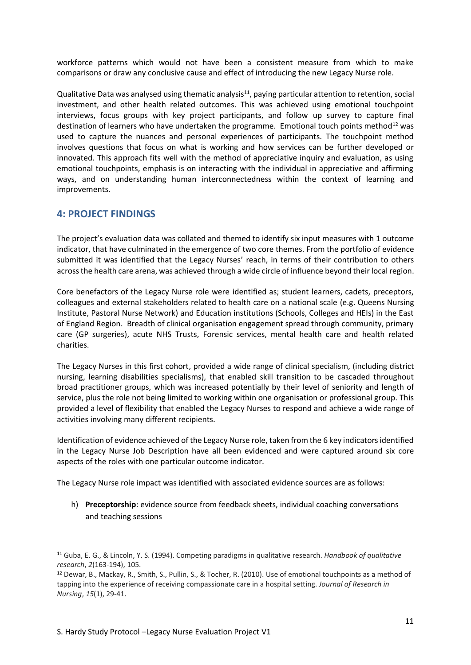workforce patterns which would not have been a consistent measure from which to make comparisons or draw any conclusive cause and effect of introducing the new Legacy Nurse role.

Qualitative Data was analysed using thematic analysis<sup>11</sup>, paying particular attention to retention, social investment, and other health related outcomes. This was achieved using emotional touchpoint interviews, focus groups with key project participants, and follow up survey to capture final destination of learners who have undertaken the programme. Emotional touch points method<sup>12</sup> was used to capture the nuances and personal experiences of participants. The touchpoint method involves questions that focus on what is working and how services can be further developed or innovated. This approach fits well with the method of appreciative inquiry and evaluation, as using emotional touchpoints, emphasis is on interacting with the individual in appreciative and affirming ways, and on understanding human interconnectedness within the context of learning and improvements.

# <span id="page-11-0"></span>**4: PROJECT FINDINGS**

The project's evaluation data was collated and themed to identify six input measures with 1 outcome indicator, that have culminated in the emergence of two core themes. From the portfolio of evidence submitted it was identified that the Legacy Nurses' reach, in terms of their contribution to others across the health care arena, was achieved through a wide circle of influence beyond their local region.

Core benefactors of the Legacy Nurse role were identified as; student learners, cadets, preceptors, colleagues and external stakeholders related to health care on a national scale (e.g. Queens Nursing Institute, Pastoral Nurse Network) and Education institutions (Schools, Colleges and HEIs) in the East of England Region. Breadth of clinical organisation engagement spread through community, primary care (GP surgeries), acute NHS Trusts, Forensic services, mental health care and health related charities.

The Legacy Nurses in this first cohort, provided a wide range of clinical specialism, (including district nursing, learning disabilities specialisms), that enabled skill transition to be cascaded throughout broad practitioner groups, which was increased potentially by their level of seniority and length of service, plus the role not being limited to working within one organisation or professional group. This provided a level of flexibility that enabled the Legacy Nurses to respond and achieve a wide range of activities involving many different recipients.

Identification of evidence achieved of the Legacy Nurse role, taken from the 6 key indicators identified in the Legacy Nurse Job Description have all been evidenced and were captured around six core aspects of the roles with one particular outcome indicator.

The Legacy Nurse role impact was identified with associated evidence sources are as follows:

h) **Preceptorship**: evidence source from feedback sheets, individual coaching conversations and teaching sessions

<sup>11</sup> Guba, E. G., & Lincoln, Y. S. (1994). Competing paradigms in qualitative research. *Handbook of qualitative research*, *2*(163-194), 105.

<sup>12</sup> Dewar, B., Mackay, R., Smith, S., Pullin, S., & Tocher, R. (2010). Use of emotional touchpoints as a method of tapping into the experience of receiving compassionate care in a hospital setting. *Journal of Research in Nursing*, *15*(1), 29-41.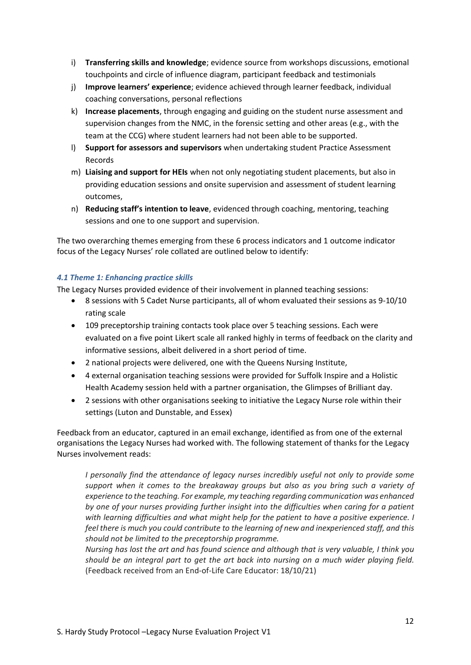- i) **Transferring skills and knowledge**; evidence source from workshops discussions, emotional touchpoints and circle of influence diagram, participant feedback and testimonials
- j) **Improve learners' experience**; evidence achieved through learner feedback, individual coaching conversations, personal reflections
- k) **Increase placements**, through engaging and guiding on the student nurse assessment and supervision changes from the NMC, in the forensic setting and other areas (e.g., with the team at the CCG) where student learners had not been able to be supported.
- l) **Support for assessors and supervisors** when undertaking student Practice Assessment Records
- m) **Liaising and support for HEIs** when not only negotiating student placements, but also in providing education sessions and onsite supervision and assessment of student learning outcomes,
- n) **Reducing staff's intention to leave**, evidenced through coaching, mentoring, teaching sessions and one to one support and supervision.

The two overarching themes emerging from these 6 process indicators and 1 outcome indicator focus of the Legacy Nurses' role collated are outlined below to identify:

### *4.1 Theme 1: Enhancing practice skills*

The Legacy Nurses provided evidence of their involvement in planned teaching sessions:

- 8 sessions with 5 Cadet Nurse participants, all of whom evaluated their sessions as 9-10/10 rating scale
- 109 preceptorship training contacts took place over 5 teaching sessions. Each were evaluated on a five point Likert scale all ranked highly in terms of feedback on the clarity and informative sessions, albeit delivered in a short period of time.
- 2 national projects were delivered, one with the Queens Nursing Institute,
- 4 external organisation teaching sessions were provided for Suffolk Inspire and a Holistic Health Academy session held with a partner organisation, the Glimpses of Brilliant day.
- 2 sessions with other organisations seeking to initiative the Legacy Nurse role within their settings (Luton and Dunstable, and Essex)

Feedback from an educator, captured in an email exchange, identified as from one of the external organisations the Legacy Nurses had worked with. The following statement of thanks for the Legacy Nurses involvement reads:

*I personally find the attendance of legacy nurses incredibly useful not only to provide some support when it comes to the breakaway groups but also as you bring such a variety of experience to the teaching. For example, my teaching regarding communication was enhanced by one of your nurses providing further insight into the difficulties when caring for a patient with learning difficulties and what might help for the patient to have a positive experience. I feel there is much you could contribute to the learning of new and inexperienced staff, and this should not be limited to the preceptorship programme.*

*Nursing has lost the art and has found science and although that is very valuable, I think you should be an integral part to get the art back into nursing on a much wider playing field.* (Feedback received from an End-of-Life Care Educator: 18/10/21)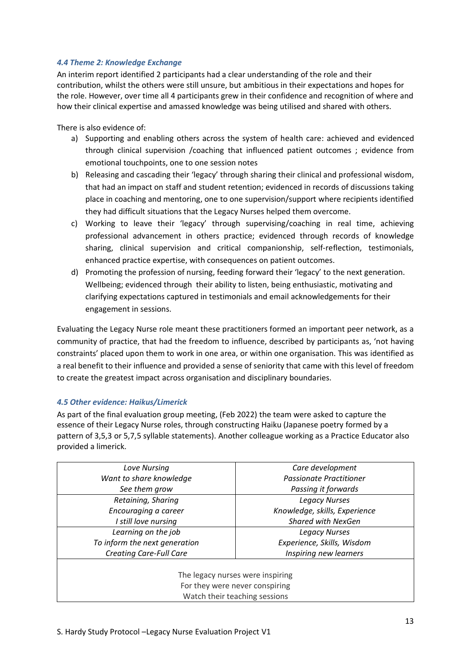### *4.4 Theme 2: Knowledge Exchange*

An interim report identified 2 participants had a clear understanding of the role and their contribution, whilst the others were still unsure, but ambitious in their expectations and hopes for the role. However, over time all 4 participants grew in their confidence and recognition of where and how their clinical expertise and amassed knowledge was being utilised and shared with others.

There is also evidence of:

- a) Supporting and enabling others across the system of health care: achieved and evidenced through clinical supervision /coaching that influenced patient outcomes ; evidence from emotional touchpoints, one to one session notes
- b) Releasing and cascading their 'legacy' through sharing their clinical and professional wisdom, that had an impact on staff and student retention; evidenced in records of discussions taking place in coaching and mentoring, one to one supervision/support where recipients identified they had difficult situations that the Legacy Nurses helped them overcome.
- c) Working to leave their 'legacy' through supervising/coaching in real time, achieving professional advancement in others practice; evidenced through records of knowledge sharing, clinical supervision and critical companionship, self-reflection, testimonials, enhanced practice expertise, with consequences on patient outcomes.
- d) Promoting the profession of nursing, feeding forward their 'legacy' to the next generation. Wellbeing; evidenced through their ability to listen, being enthusiastic, motivating and clarifying expectations captured in testimonials and email acknowledgements for their engagement in sessions.

Evaluating the Legacy Nurse role meant these practitioners formed an important peer network, as a community of practice, that had the freedom to influence, described by participants as, 'not having constraints' placed upon them to work in one area, or within one organisation. This was identified as a real benefit to their influence and provided a sense of seniority that came with this level of freedom to create the greatest impact across organisation and disciplinary boundaries.

## *4.5 Other evidence: Haikus/Limerick*

As part of the final evaluation group meeting, (Feb 2022) the team were asked to capture the essence of their Legacy Nurse roles, through constructing Haiku (Japanese poetry formed by a pattern of 3,5,3 or 5,7,5 syllable statements). Another colleague working as a Practice Educator also provided a limerick.

| Love Nursing                   | Care development                                                                                    |
|--------------------------------|-----------------------------------------------------------------------------------------------------|
| Want to share knowledge        | <b>Passionate Practitioner</b>                                                                      |
| See them grow                  | Passing it forwards                                                                                 |
| Retaining, Sharing             | <b>Legacy Nurses</b>                                                                                |
| Encouraging a career           | Knowledge, skills, Experience                                                                       |
| I still love nursing           | <b>Shared with NexGen</b>                                                                           |
| Learning on the job            | <b>Legacy Nurses</b>                                                                                |
| To inform the next generation  | Experience, Skills, Wisdom                                                                          |
| <b>Creating Care-Full Care</b> | Inspiring new learners                                                                              |
|                                | The legacy nurses were inspiring<br>For they were never conspiring<br>Watch their teaching sessions |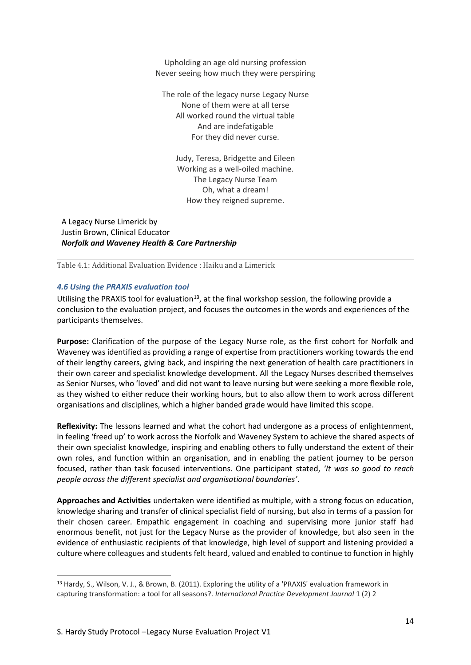Upholding an age old nursing profession Never seeing how much they were perspiring The role of the legacy nurse Legacy Nurse None of them were at all terse All worked round the virtual table And are indefatigable For they did never curse. Judy, Teresa, Bridgette and Eileen Working as a well-oiled machine. The Legacy Nurse Team Oh, what a dream! How they reigned supreme. A Legacy Nurse Limerick by Justin Brown, Clinical Educator *Norfolk and Waveney Health & Care Partnership*

Table 4.1: Additional Evaluation Evidence : Haiku and a Limerick

## *4.6 Using the PRAXIS evaluation tool*

Utilising the PRAXIS tool for evaluation<sup>13</sup>, at the final workshop session, the following provide a conclusion to the evaluation project, and focuses the outcomes in the words and experiences of the participants themselves.

**Purpose:** Clarification of the purpose of the Legacy Nurse role, as the first cohort for Norfolk and Waveney was identified as providing a range of expertise from practitioners working towards the end of their lengthy careers, giving back, and inspiring the next generation of health care practitioners in their own career and specialist knowledge development. All the Legacy Nurses described themselves as Senior Nurses, who 'loved' and did not want to leave nursing but were seeking a more flexible role, as they wished to either reduce their working hours, but to also allow them to work across different organisations and disciplines, which a higher banded grade would have limited this scope.

**Reflexivity:** The lessons learned and what the cohort had undergone as a process of enlightenment, in feeling 'freed up' to work across the Norfolk and Waveney System to achieve the shared aspects of their own specialist knowledge, inspiring and enabling others to fully understand the extent of their own roles, and function within an organisation, and in enabling the patient journey to be person focused, rather than task focused interventions. One participant stated, *'It was so good to reach people across the different specialist and organisational boundaries'*.

**Approaches and Activities** undertaken were identified as multiple, with a strong focus on education, knowledge sharing and transfer of clinical specialist field of nursing, but also in terms of a passion for their chosen career. Empathic engagement in coaching and supervising more junior staff had enormous benefit, not just for the Legacy Nurse as the provider of knowledge, but also seen in the evidence of enthusiastic recipients of that knowledge, high level of support and listening provided a culture where colleagues and students felt heard, valued and enabled to continue to function in highly

<sup>13</sup> Hardy, S., Wilson, V. J., & Brown, B. (2011). Exploring the utility of a 'PRAXIS' evaluation framework in capturing transformation: a tool for all seasons?. *International Practice Development Journal* 1 (2) 2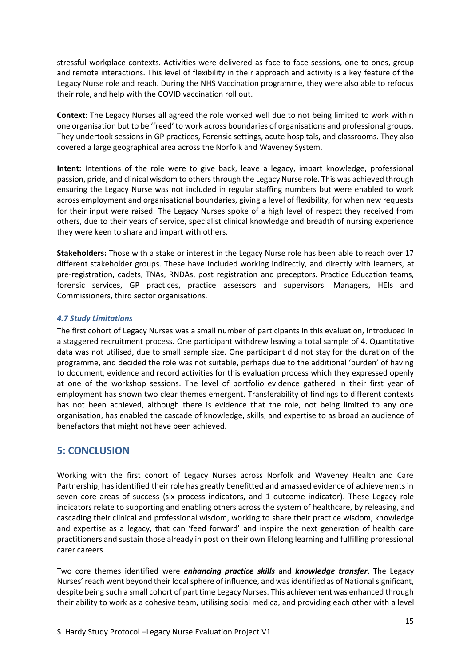stressful workplace contexts. Activities were delivered as face-to-face sessions, one to ones, group and remote interactions. This level of flexibility in their approach and activity is a key feature of the Legacy Nurse role and reach. During the NHS Vaccination programme, they were also able to refocus their role, and help with the COVID vaccination roll out.

**Context:** The Legacy Nurses all agreed the role worked well due to not being limited to work within one organisation but to be 'freed' to work across boundaries of organisations and professional groups. They undertook sessions in GP practices, Forensic settings, acute hospitals, and classrooms. They also covered a large geographical area across the Norfolk and Waveney System.

**Intent:** Intentions of the role were to give back, leave a legacy, impart knowledge, professional passion, pride, and clinical wisdom to othersthrough the Legacy Nurse role. This was achieved through ensuring the Legacy Nurse was not included in regular staffing numbers but were enabled to work across employment and organisational boundaries, giving a level of flexibility, for when new requests for their input were raised. The Legacy Nurses spoke of a high level of respect they received from others, due to their years of service, specialist clinical knowledge and breadth of nursing experience they were keen to share and impart with others.

**Stakeholders:** Those with a stake or interest in the Legacy Nurse role has been able to reach over 17 different stakeholder groups. These have included working indirectly, and directly with learners, at pre-registration, cadets, TNAs, RNDAs, post registration and preceptors. Practice Education teams, forensic services, GP practices, practice assessors and supervisors. Managers, HEIs and Commissioners, third sector organisations.

### *4.7 Study Limitations*

The first cohort of Legacy Nurses was a small number of participants in this evaluation, introduced in a staggered recruitment process. One participant withdrew leaving a total sample of 4. Quantitative data was not utilised, due to small sample size. One participant did not stay for the duration of the programme, and decided the role was not suitable, perhaps due to the additional 'burden' of having to document, evidence and record activities for this evaluation process which they expressed openly at one of the workshop sessions. The level of portfolio evidence gathered in their first year of employment has shown two clear themes emergent. Transferability of findings to different contexts has not been achieved, although there is evidence that the role, not being limited to any one organisation, has enabled the cascade of knowledge, skills, and expertise to as broad an audience of benefactors that might not have been achieved.

## <span id="page-15-0"></span>**5: CONCLUSION**

Working with the first cohort of Legacy Nurses across Norfolk and Waveney Health and Care Partnership, has identified their role has greatly benefitted and amassed evidence of achievements in seven core areas of success (six process indicators, and 1 outcome indicator). These Legacy role indicators relate to supporting and enabling others across the system of healthcare, by releasing, and cascading their clinical and professional wisdom, working to share their practice wisdom, knowledge and expertise as a legacy, that can 'feed forward' and inspire the next generation of health care practitioners and sustain those already in post on their own lifelong learning and fulfilling professional carer careers.

Two core themes identified were *enhancing practice skills* and *knowledge transfer*. The Legacy Nurses' reach went beyond their local sphere of influence, and was identified as of National significant, despite being such a small cohort of part time Legacy Nurses. This achievement was enhanced through their ability to work as a cohesive team, utilising social medica, and providing each other with a level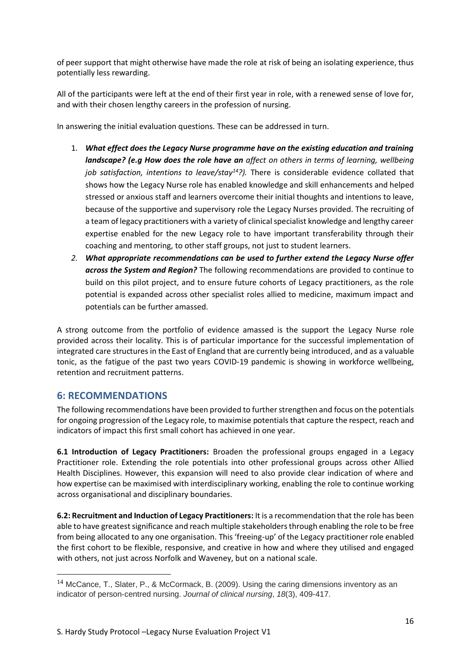of peer support that might otherwise have made the role at risk of being an isolating experience, thus potentially less rewarding.

All of the participants were left at the end of their first year in role, with a renewed sense of love for, and with their chosen lengthy careers in the profession of nursing.

In answering the initial evaluation questions. These can be addressed in turn.

- 1. *What effect does the Legacy Nurse programme have on the existing education and training landscape? (e.g How does the role have an affect on others in terms of learning, wellbeing job satisfaction, intentions to leave/stay<sup>14</sup>?).* There is considerable evidence collated that shows how the Legacy Nurse role has enabled knowledge and skill enhancements and helped stressed or anxious staff and learners overcome their initial thoughts and intentions to leave, because of the supportive and supervisory role the Legacy Nurses provided. The recruiting of a team of legacy practitioners with a variety of clinical specialist knowledge and lengthy career expertise enabled for the new Legacy role to have important transferability through their coaching and mentoring, to other staff groups, not just to student learners.
- *2. What appropriate recommendations can be used to further extend the Legacy Nurse offer across the System and Region?* The following recommendations are provided to continue to build on this pilot project, and to ensure future cohorts of Legacy practitioners, as the role potential is expanded across other specialist roles allied to medicine, maximum impact and potentials can be further amassed.

A strong outcome from the portfolio of evidence amassed is the support the Legacy Nurse role provided across their locality. This is of particular importance for the successful implementation of integrated care structures in the East of England that are currently being introduced, and as a valuable tonic, as the fatigue of the past two years COVID-19 pandemic is showing in workforce wellbeing, retention and recruitment patterns.

# <span id="page-16-0"></span>**6: RECOMMENDATIONS**

The following recommendations have been provided to further strengthen and focus on the potentials for ongoing progression of the Legacy role, to maximise potentials that capture the respect, reach and indicators of impact this first small cohort has achieved in one year.

**6.1 Introduction of Legacy Practitioners:** Broaden the professional groups engaged in a Legacy Practitioner role. Extending the role potentials into other professional groups across other Allied Health Disciplines. However, this expansion will need to also provide clear indication of where and how expertise can be maximised with interdisciplinary working, enabling the role to continue working across organisational and disciplinary boundaries.

**6.2: Recruitment and Induction of Legacy Practitioners:** It is a recommendation that the role has been able to have greatest significance and reach multiple stakeholdersthrough enabling the role to be free from being allocated to any one organisation. This 'freeing-up' of the Legacy practitioner role enabled the first cohort to be flexible, responsive, and creative in how and where they utilised and engaged with others, not just across Norfolk and Waveney, but on a national scale.

 $14$  McCance, T., Slater, P., & McCormack, B. (2009). Using the caring dimensions inventory as an indicator of person‐centred nursing. *Journal of clinical nursing*, *18*(3), 409-417.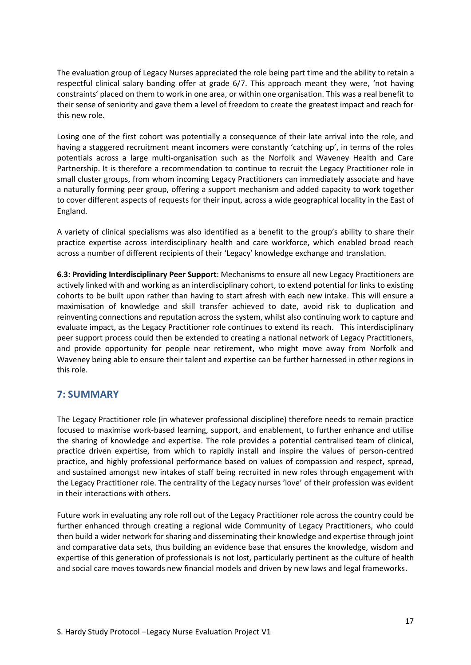The evaluation group of Legacy Nurses appreciated the role being part time and the ability to retain a respectful clinical salary banding offer at grade 6/7. This approach meant they were, 'not having constraints' placed on them to work in one area, or within one organisation. This was a real benefit to their sense of seniority and gave them a level of freedom to create the greatest impact and reach for this new role.

Losing one of the first cohort was potentially a consequence of their late arrival into the role, and having a staggered recruitment meant incomers were constantly 'catching up', in terms of the roles potentials across a large multi-organisation such as the Norfolk and Waveney Health and Care Partnership. It is therefore a recommendation to continue to recruit the Legacy Practitioner role in small cluster groups, from whom incoming Legacy Practitioners can immediately associate and have a naturally forming peer group, offering a support mechanism and added capacity to work together to cover different aspects of requests for their input, across a wide geographical locality in the East of England.

A variety of clinical specialisms was also identified as a benefit to the group's ability to share their practice expertise across interdisciplinary health and care workforce, which enabled broad reach across a number of different recipients of their 'Legacy' knowledge exchange and translation.

**6.3: Providing Interdisciplinary Peer Support**: Mechanisms to ensure all new Legacy Practitioners are actively linked with and working as an interdisciplinary cohort, to extend potential for links to existing cohorts to be built upon rather than having to start afresh with each new intake. This will ensure a maximisation of knowledge and skill transfer achieved to date, avoid risk to duplication and reinventing connections and reputation across the system, whilst also continuing work to capture and evaluate impact, as the Legacy Practitioner role continues to extend its reach. This interdisciplinary peer support process could then be extended to creating a national network of Legacy Practitioners, and provide opportunity for people near retirement, who might move away from Norfolk and Waveney being able to ensure their talent and expertise can be further harnessed in other regions in this role.

# <span id="page-17-0"></span>**7: SUMMARY**

The Legacy Practitioner role (in whatever professional discipline) therefore needs to remain practice focused to maximise work-based learning, support, and enablement, to further enhance and utilise the sharing of knowledge and expertise. The role provides a potential centralised team of clinical, practice driven expertise, from which to rapidly install and inspire the values of person-centred practice, and highly professional performance based on values of compassion and respect, spread, and sustained amongst new intakes of staff being recruited in new roles through engagement with the Legacy Practitioner role. The centrality of the Legacy nurses 'love' of their profession was evident in their interactions with others.

Future work in evaluating any role roll out of the Legacy Practitioner role across the country could be further enhanced through creating a regional wide Community of Legacy Practitioners, who could then build a wider network for sharing and disseminating their knowledge and expertise through joint and comparative data sets, thus building an evidence base that ensures the knowledge, wisdom and expertise of this generation of professionals is not lost, particularly pertinent as the culture of health and social care moves towards new financial models and driven by new laws and legal frameworks.